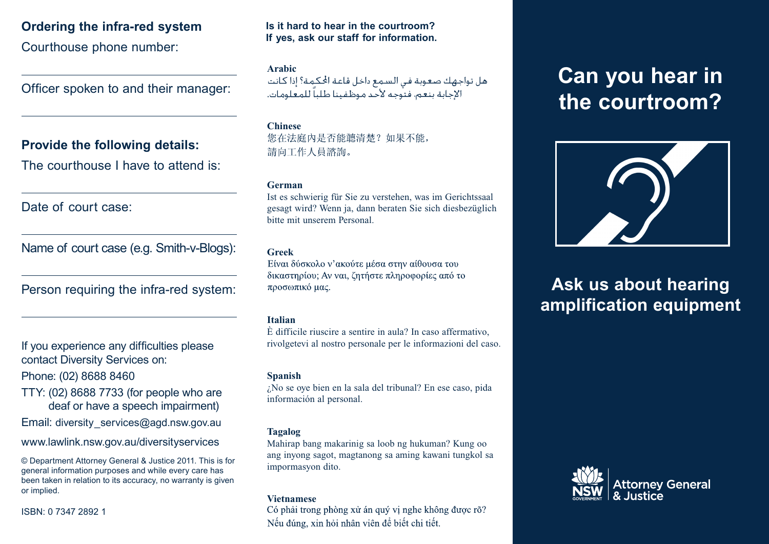# **Ordering the infra-red system**

Courthouse phone number:

Officer spoken to and their manager:

# **Provide the following details:**

The courthouse I have to attend is:

Date of court case:

Name of court case (e.g. Smith-v-Blogs):

Person requiring the infra-red system:

If you experience any difficulties please If you experience any difficulties please contact Diversity Services on: contact Diversity Services on:

Phone: (02) 8688 8460 Phone: (02) 8688 8460

TTY: (02) 8688 7733 (for people who are TTY: (02) 8688 7733 (for people who are deaf or have a speech impairment) deaf or have a speech impairment)

Email: diversity\_services@agd.nsw.gov.au Email: diversity\_services@agd.nsw.gov.au

www.lawlink.nsw.gov.au/diversityservices www.lawlink.nsw.gov.au/diversityservices

© Department Attorney General & Justice 2011. This is for<br>general information purposes and while every care has general information purposes and while every care has been taken in relation to its accuracy, no warranty is given<br>or implied warranty is given or implied. © Department Attorney General & Justice 2011. This is for or implied.

ISBN: 0 7347 2892 1

## **Is it hard to hear in the courtroom? If yes, ask our staff for information.**

**Arabic** الإجابة بنعم، فتوجه لأحد موظفينا طلباً للمعلومات.

# **Chinese**

您在法庭内是否能聼清楚?如果不能, 請向工作人員諮詢。

### **German**

Ist es schwierig für Sie zu verstehen, was im Gerichtssaal gesagt wird? Wenn ja, dann beraten Sie sich diesbezüglich bitte mit unserem Personal.

### **Greek**

Είναι δύσκολο ν'ακούτε μέσα στην αίθουσα του δικαστηρίου; Αν ναι, ζητήστε πληροφορίες από το προσωπικό μας.

### **Italian**

È difficile riuscire a sentire in aula? In caso affermativo, rivolgetevi al nostro personale per le informazioni del caso.

### **Spanish**

¿No se oye bien en la sala del tribunal? En ese caso, pida información al personal.

# **Tagalog**

Mahirap bang makarinig sa loob ng hukuman? Kung oo ang inyong sagot, magtanong sa aming kawani tungkol sa impormasyon dito.

**Vietnamese**<br>Có phải trong phòng xử án quý vi nghe không được rõ? Nếu đúng, xin hỏi nhân viên để biết chi tiết.

# **Can you hear in the courtroom?**



# **Ask us about hearing amplification equipment**